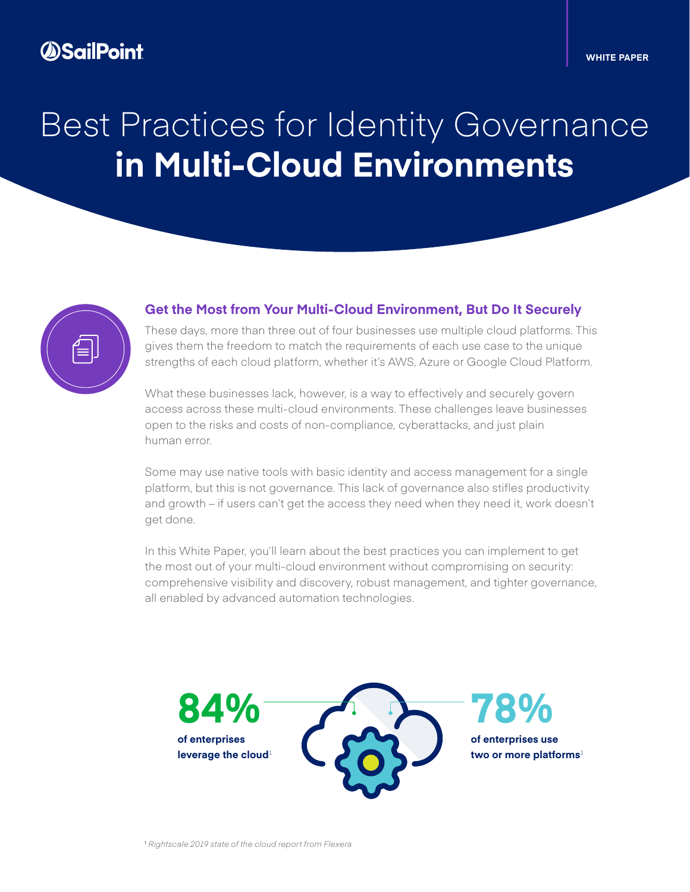## *AScilPoint*

# Best Practices for Identity Governance **in Multi-Cloud Environments**



#### **Get the Most from Your Multi-Cloud Environment, But Do It Securely**

These days, more than three out of four businesses use multiple cloud platforms. This gives them the freedom to match the requirements of each use case to the unique strengths of each cloud platform, whether it's AWS, Azure or Google Cloud Platform.

What these businesses lack, however, is a way to effectively and securely govern access across these multi-cloud environments. These challenges leave businesses open to the risks and costs of non-compliance, cyberattacks, and just plain human error.

Some may use native tools with basic identity and access management for a single platform, but this is not governance. This lack of governance also stifles productivity and growth – if users can't get the access they need when they need it, work doesn't get done.

In this White Paper, you'll learn about the best practices you can implement to get the most out of your multi-cloud environment without compromising on security: comprehensive visibility and discovery, robust management, and tighter governance, all enabled by advanced automation technologies.

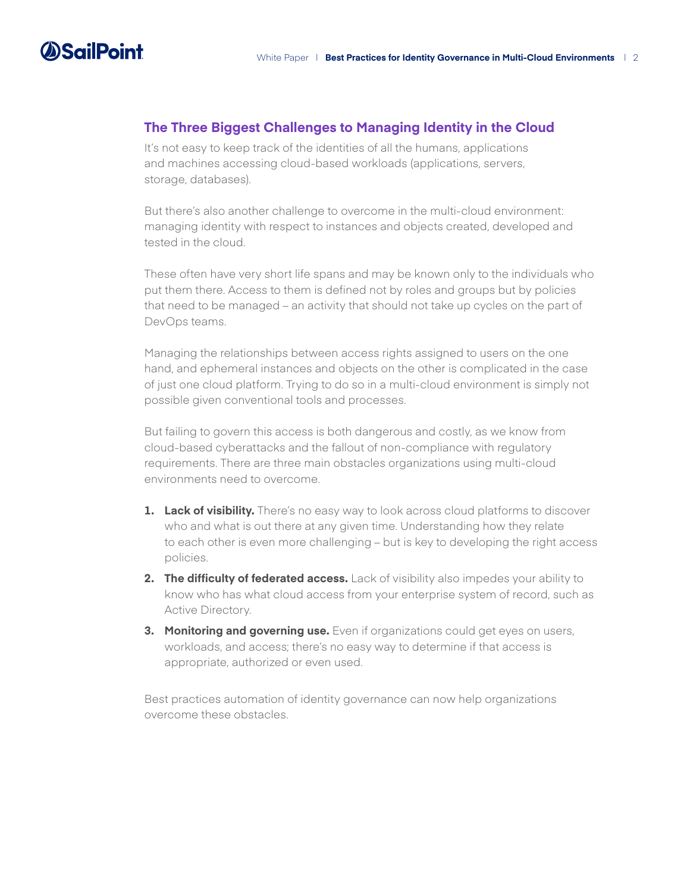

### **The Three Biggest Challenges to Managing Identity in the Cloud**

It's not easy to keep track of the identities of all the humans, applications and machines accessing cloud-based workloads (applications, servers, storage, databases).

But there's also another challenge to overcome in the multi-cloud environment: managing identity with respect to instances and objects created, developed and tested in the cloud.

These often have very short life spans and may be known only to the individuals who put them there. Access to them is defined not by roles and groups but by policies that need to be managed – an activity that should not take up cycles on the part of DevOps teams.

Managing the relationships between access rights assigned to users on the one hand, and ephemeral instances and objects on the other is complicated in the case of just one cloud platform. Trying to do so in a multi-cloud environment is simply not possible given conventional tools and processes.

But failing to govern this access is both dangerous and costly, as we know from cloud-based cyberattacks and the fallout of non-compliance with regulatory requirements. There are three main obstacles organizations using multi-cloud environments need to overcome.

- **1. Lack of visibility.** There's no easy way to look across cloud platforms to discover who and what is out there at any given time. Understanding how they relate to each other is even more challenging – but is key to developing the right access policies.
- **2. The difficulty of federated access.** Lack of visibility also impedes your ability to know who has what cloud access from your enterprise system of record, such as Active Directory.
- **3. Monitoring and governing use.** Even if organizations could get eyes on users, workloads, and access; there's no easy way to determine if that access is appropriate, authorized or even used.

Best practices automation of identity governance can now help organizations overcome these obstacles.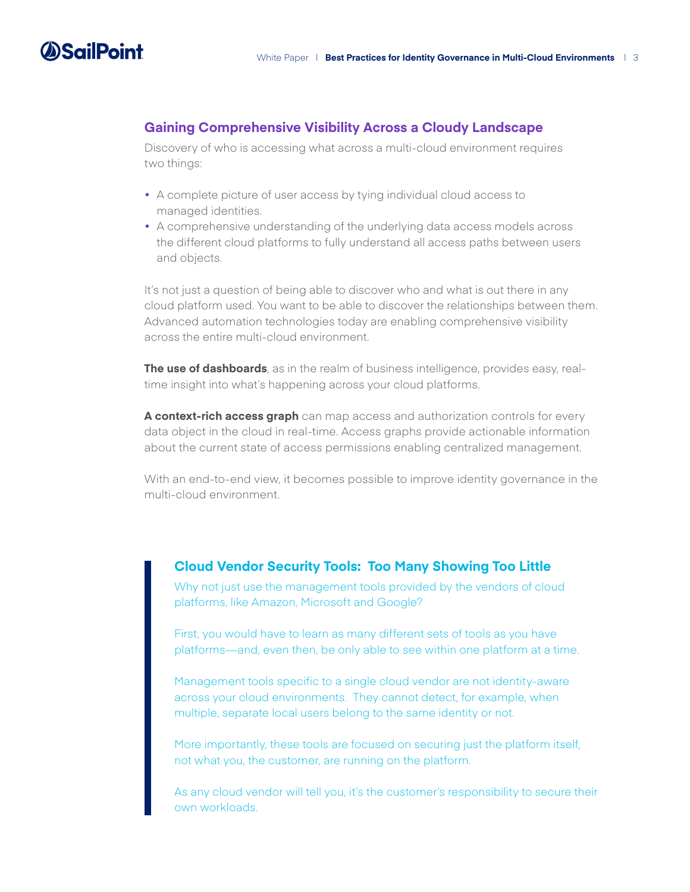

#### **Gaining Comprehensive Visibility Across a Cloudy Landscape**

Discovery of who is accessing what across a multi-cloud environment requires two things:

- A complete picture of user access by tying individual cloud access to managed identities.
- A comprehensive understanding of the underlying data access models across the different cloud platforms to fully understand all access paths between users and objects.

It's not just a question of being able to discover who and what is out there in any cloud platform used. You want to be able to discover the relationships between them. Advanced automation technologies today are enabling comprehensive visibility across the entire multi-cloud environment.

**The use of dashboards**, as in the realm of business intelligence, provides easy, realtime insight into what's happening across your cloud platforms.

**A context-rich access graph** can map access and authorization controls for every data object in the cloud in real-time. Access graphs provide actionable information about the current state of access permissions enabling centralized management.

With an end-to-end view, it becomes possible to improve identity governance in the multi-cloud environment.

#### **Cloud Vendor Security Tools: Too Many Showing Too Little**

Why not just use the management tools provided by the vendors of cloud platforms, like Amazon, Microsoft and Google?

First, you would have to learn as many different sets of tools as you have platforms—and, even then, be only able to see within one platform at a time.

Management tools specific to a single cloud vendor are not identity-aware across your cloud environments. They cannot detect, for example, when multiple, separate local users belong to the same identity or not.

More importantly, these tools are focused on securing just the platform itself, not what you, the customer, are running on the platform.

As any cloud vendor will tell you, it's the customer's responsibility to secure their own workloads.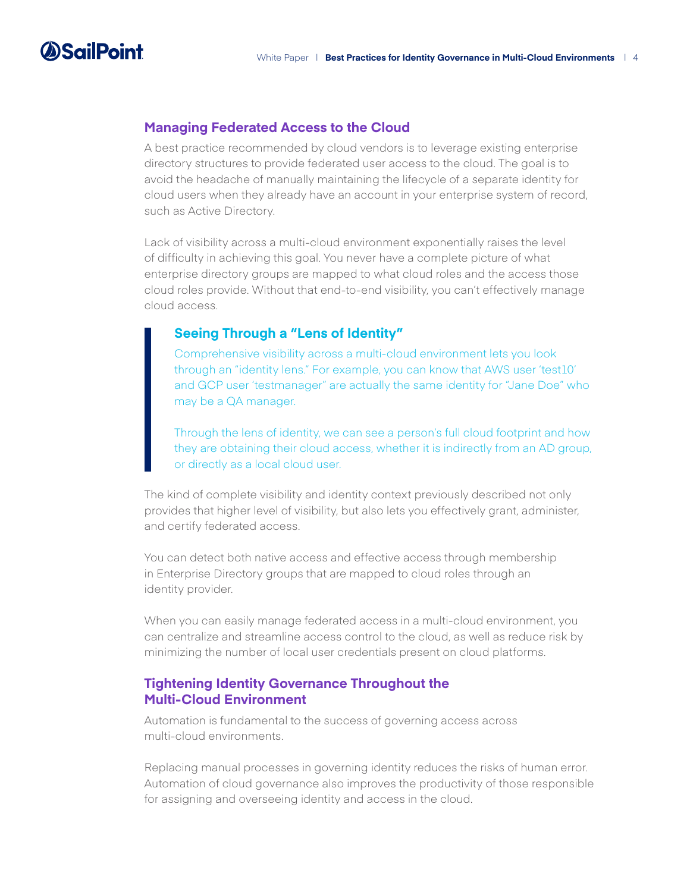

#### **Managing Federated Access to the Cloud**

A best practice recommended by cloud vendors is to leverage existing enterprise directory structures to provide federated user access to the cloud. The goal is to avoid the headache of manually maintaining the lifecycle of a separate identity for cloud users when they already have an account in your enterprise system of record, such as Active Directory.

Lack of visibility across a multi-cloud environment exponentially raises the level of difficulty in achieving this goal. You never have a complete picture of what enterprise directory groups are mapped to what cloud roles and the access those cloud roles provide. Without that end-to-end visibility, you can't effectively manage cloud access.

#### **Seeing Through a "Lens of Identity"**

Comprehensive visibility across a multi-cloud environment lets you look through an "identity lens." For example, you can know that AWS user 'test10' and GCP user 'testmanager" are actually the same identity for "Jane Doe" who may be a QA manager.

Through the lens of identity, we can see a person's full cloud footprint and how they are obtaining their cloud access, whether it is indirectly from an AD group, or directly as a local cloud user.

The kind of complete visibility and identity context previously described not only provides that higher level of visibility, but also lets you effectively grant, administer, and certify federated access.

You can detect both native access and effective access through membership in Enterprise Directory groups that are mapped to cloud roles through an identity provider.

When you can easily manage federated access in a multi-cloud environment, you can centralize and streamline access control to the cloud, as well as reduce risk by minimizing the number of local user credentials present on cloud platforms.

#### **Tightening Identity Governance Throughout the Multi-Cloud Environment**

Automation is fundamental to the success of governing access across multi-cloud environments.

Replacing manual processes in governing identity reduces the risks of human error. Automation of cloud governance also improves the productivity of those responsible for assigning and overseeing identity and access in the cloud.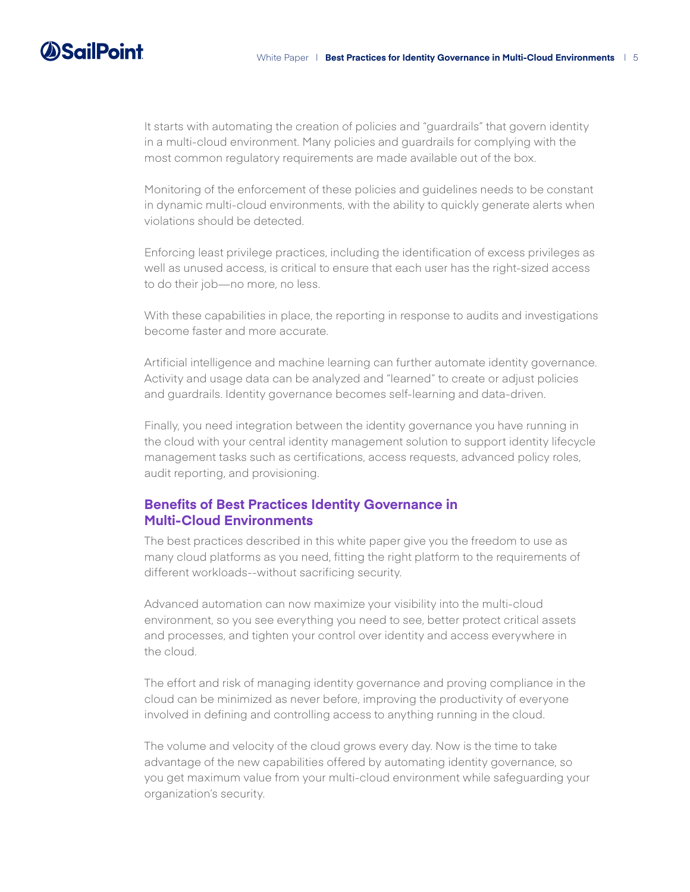## DSailPoint

It starts with automating the creation of policies and "guardrails" that govern identity in a multi-cloud environment. Many policies and guardrails for complying with the most common regulatory requirements are made available out of the box.

Monitoring of the enforcement of these policies and guidelines needs to be constant in dynamic multi-cloud environments, with the ability to quickly generate alerts when violations should be detected.

Enforcing least privilege practices, including the identification of excess privileges as well as unused access, is critical to ensure that each user has the right-sized access to do their job—no more, no less.

With these capabilities in place, the reporting in response to audits and investigations become faster and more accurate.

Artificial intelligence and machine learning can further automate identity governance. Activity and usage data can be analyzed and "learned" to create or adjust policies and guardrails. Identity governance becomes self-learning and data-driven.

Finally, you need integration between the identity governance you have running in the cloud with your central identity management solution to support identity lifecycle management tasks such as certifications, access requests, advanced policy roles, audit reporting, and provisioning.

### **Benefits of Best Practices Identity Governance in Multi-Cloud Environments**

The best practices described in this white paper give you the freedom to use as many cloud platforms as you need, fitting the right platform to the requirements of different workloads--without sacrificing security.

Advanced automation can now maximize your visibility into the multi-cloud environment, so you see everything you need to see, better protect critical assets and processes, and tighten your control over identity and access everywhere in the cloud.

The effort and risk of managing identity governance and proving compliance in the cloud can be minimized as never before, improving the productivity of everyone involved in defining and controlling access to anything running in the cloud.

The volume and velocity of the cloud grows every day. Now is the time to take advantage of the new capabilities offered by automating identity governance, so you get maximum value from your multi-cloud environment while safeguarding your organization's security.